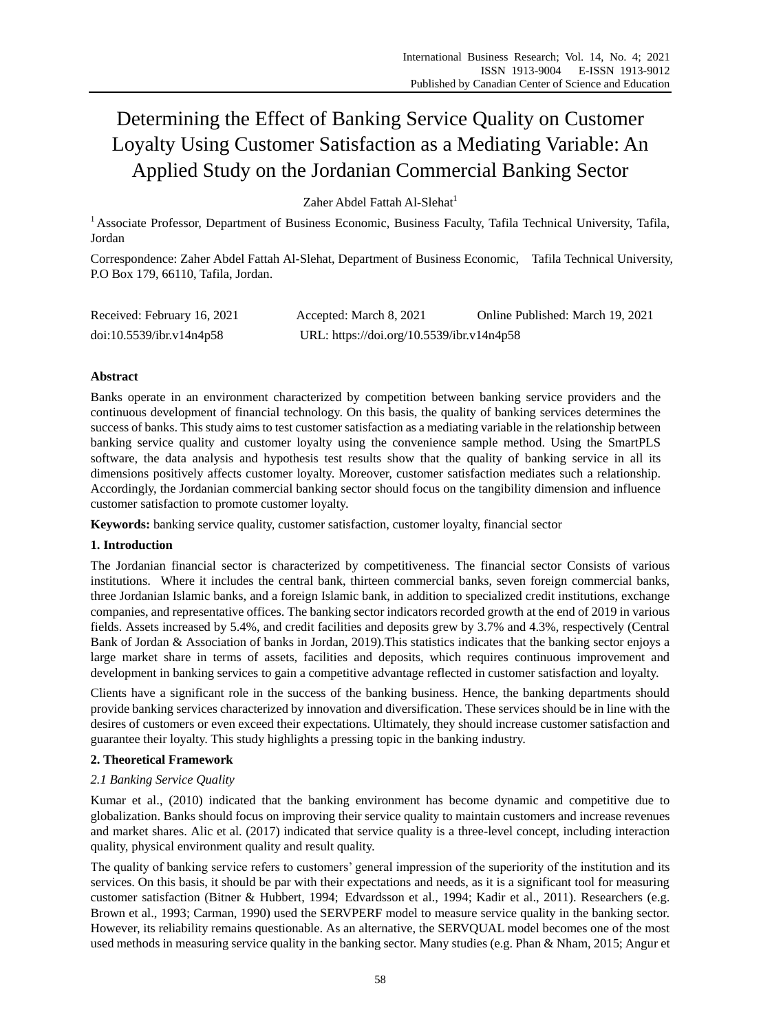# Determining the Effect of Banking Service Quality on Customer Loyalty Using Customer Satisfaction as a Mediating Variable: An Applied Study on the Jordanian Commercial Banking Sector

Zaher Abdel Fattah Al-Slehat<sup>1</sup>

<sup>1</sup> Associate Professor, Department of Business Economic, Business Faculty, Tafila Technical University, Tafila, Jordan

Correspondence: Zaher Abdel Fattah Al-Slehat, Department of Business Economic, Tafila Technical University, P.O Box 179, 66110, Tafila, Jordan.

| Received: February 16, 2021 | Accepted: March 8, 2021                   | Online Published: March 19, 2021 |
|-----------------------------|-------------------------------------------|----------------------------------|
| doi:10.5539/ibr.v14n4p58    | URL: https://doi.org/10.5539/ibr.v14n4p58 |                                  |

# **Abstract**

Banks operate in an environment characterized by competition between banking service providers and the continuous development of financial technology. On this basis, the quality of banking services determines the success of banks. This study aims to test customer satisfaction as a mediating variable in the relationship between banking service quality and customer loyalty using the convenience sample method. Using the SmartPLS software, the data analysis and hypothesis test results show that the quality of banking service in all its dimensions positively affects customer loyalty. Moreover, customer satisfaction mediates such a relationship. Accordingly, the Jordanian commercial banking sector should focus on the tangibility dimension and influence customer satisfaction to promote customer loyalty.

**Keywords:** banking service quality, customer satisfaction, customer loyalty, financial sector

# **1. Introduction**

The Jordanian financial sector is characterized by competitiveness. The financial sector Consists of various institutions. Where it includes the central bank, thirteen commercial banks, seven foreign commercial banks, three Jordanian Islamic banks, and a foreign Islamic bank, in addition to specialized credit institutions, exchange companies, and representative offices. The banking sector indicators recorded growth at the end of 2019 in various fields. Assets increased by 5.4%, and credit facilities and deposits grew by 3.7% and 4.3%, respectively (Central Bank of Jordan & Association of banks in Jordan, 2019).This statistics indicates that the banking sector enjoys a large market share in terms of assets, facilities and deposits, which requires continuous improvement and development in banking services to gain a competitive advantage reflected in customer satisfaction and loyalty.

Clients have a significant role in the success of the banking business. Hence, the banking departments should provide banking services characterized by innovation and diversification. These services should be in line with the desires of customers or even exceed their expectations. Ultimately, they should increase customer satisfaction and guarantee their loyalty. This study highlights a pressing topic in the banking industry.

# **2. Theoretical Framework**

# *2.1 Banking Service Quality*

Kumar et al., (2010) indicated that the banking environment has become dynamic and competitive due to globalization. Banks should focus on improving their service quality to maintain customers and increase revenues and market shares. Alic et al. (2017) indicated that service quality is a three-level concept, including interaction quality, physical environment quality and result quality.

The quality of banking service refers to customers' general impression of the superiority of the institution and its services. On this basis, it should be par with their expectations and needs, as it is a significant tool for measuring customer satisfaction (Bitner & Hubbert, 1994; Edvardsson et al., 1994; Kadir et al., 2011). Researchers (e.g. Brown et al., 1993; Carman, 1990) used the SERVPERF model to measure service quality in the banking sector. However, its reliability remains questionable. As an alternative, the SERVQUAL model becomes one of the most used methods in measuring service quality in the banking sector. Many studies (e.g. Phan & Nham, 2015; Angur et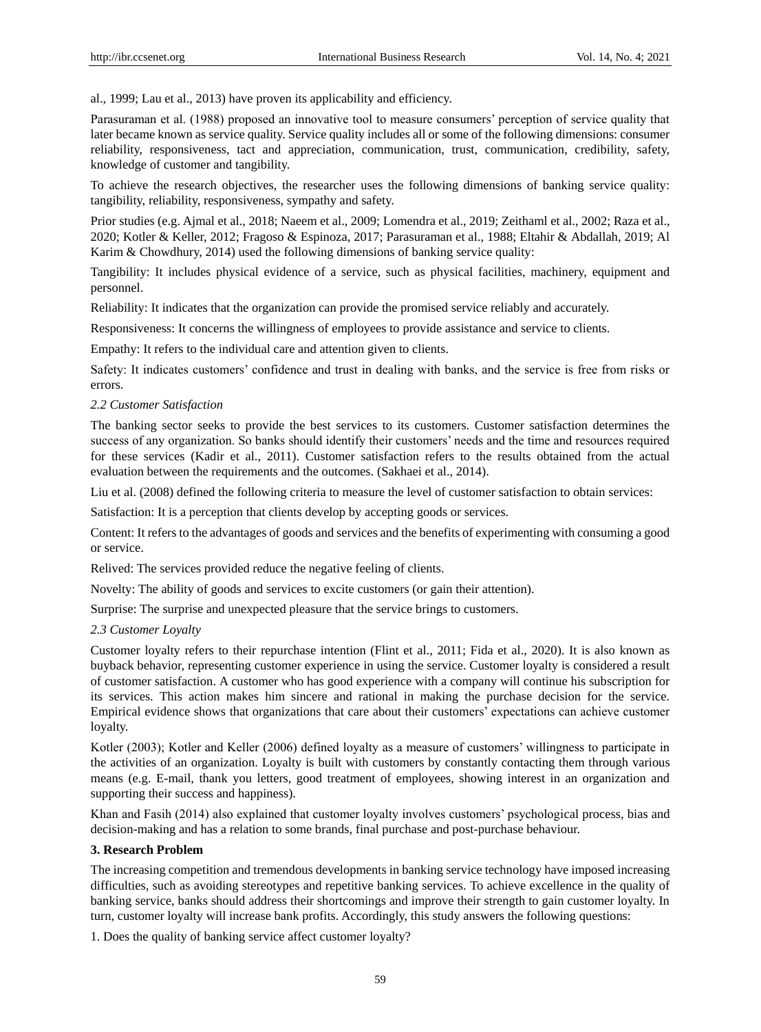al., 1999; Lau et al., 2013) have proven its applicability and efficiency.

Parasuraman et al. (1988) proposed an innovative tool to measure consumers' perception of service quality that later became known as service quality. Service quality includes all or some of the following dimensions: consumer reliability, responsiveness, tact and appreciation, communication, trust, communication, credibility, safety, knowledge of customer and tangibility.

To achieve the research objectives, the researcher uses the following dimensions of banking service quality: tangibility, reliability, responsiveness, sympathy and safety.

Prior studies (e.g. Ajmal et al., 2018; Naeem et al., 2009; Lomendra et al., 2019; Zeithaml et al., 2002; Raza et al., 2020; Kotler & Keller, 2012; Fragoso & Espinoza, 2017; Parasuraman et al., 1988; Eltahir & Abdallah, 2019; Al Karim & Chowdhury, 2014) used the following dimensions of banking service quality:

Tangibility: It includes physical evidence of a service, such as physical facilities, machinery, equipment and personnel.

Reliability: It indicates that the organization can provide the promised service reliably and accurately.

Responsiveness: It concerns the willingness of employees to provide assistance and service to clients.

Empathy: It refers to the individual care and attention given to clients.

Safety: It indicates customers' confidence and trust in dealing with banks, and the service is free from risks or errors.

#### *2.2 Customer Satisfaction*

The banking sector seeks to provide the best services to its customers. Customer satisfaction determines the success of any organization. So banks should identify their customers' needs and the time and resources required for these services (Kadir et al., 2011). Customer satisfaction refers to the results obtained from the actual evaluation between the requirements and the outcomes. (Sakhaei et al., 2014).

Liu et al. (2008) defined the following criteria to measure the level of customer satisfaction to obtain services:

Satisfaction: It is a perception that clients develop by accepting goods or services.

Content: It refers to the advantages of goods and services and the benefits of experimenting with consuming a good or service.

Relived: The services provided reduce the negative feeling of clients.

Novelty: The ability of goods and services to excite customers (or gain their attention).

Surprise: The surprise and unexpected pleasure that the service brings to customers.

#### *2.3 Customer Loyalty*

Customer loyalty refers to their repurchase intention (Flint et al., 2011; Fida et al., 2020). It is also known as buyback behavior, representing customer experience in using the service. Customer loyalty is considered a result of customer satisfaction. A customer who has good experience with a company will continue his subscription for its services. This action makes him sincere and rational in making the purchase decision for the service. Empirical evidence shows that organizations that care about their customers' expectations can achieve customer loyalty.

Kotler (2003); Kotler and Keller (2006) defined loyalty as a measure of customers' willingness to participate in the activities of an organization. Loyalty is built with customers by constantly contacting them through various means (e.g. E-mail, thank you letters, good treatment of employees, showing interest in an organization and supporting their success and happiness).

Khan and Fasih (2014) also explained that customer loyalty involves customers' psychological process, bias and decision-making and has a relation to some brands, final purchase and post-purchase behaviour.

#### **3. Research Problem**

The increasing competition and tremendous developments in banking service technology have imposed increasing difficulties, such as avoiding stereotypes and repetitive banking services. To achieve excellence in the quality of banking service, banks should address their shortcomings and improve their strength to gain customer loyalty. In turn, customer loyalty will increase bank profits. Accordingly, this study answers the following questions:

1. Does the quality of banking service affect customer loyalty?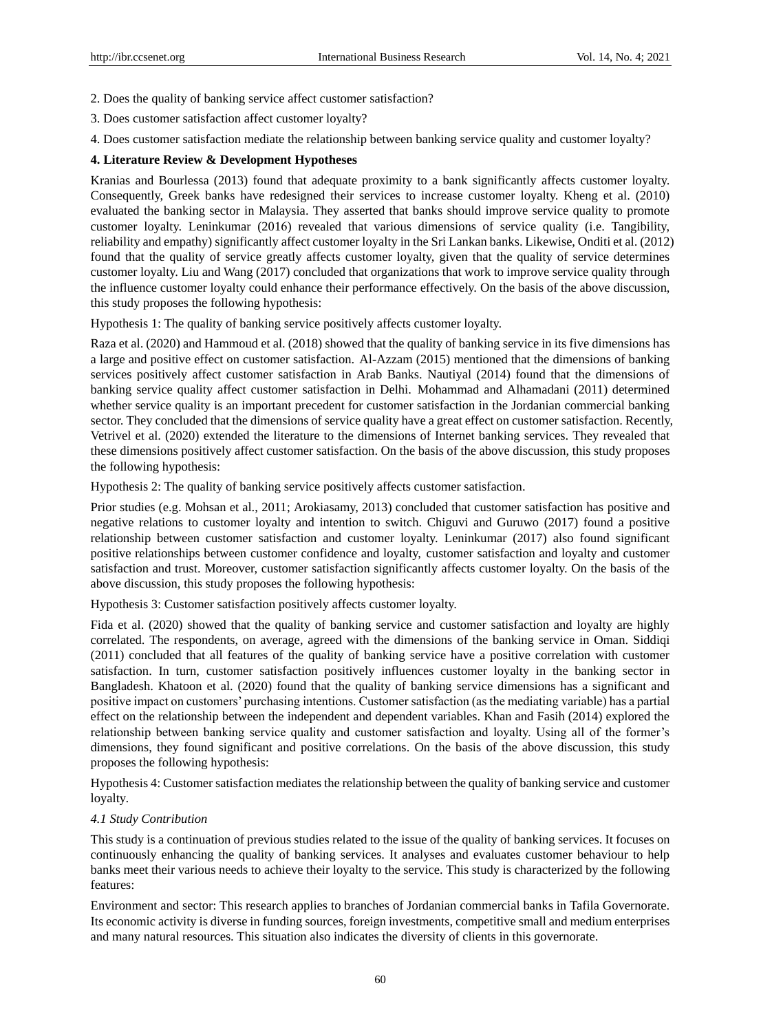- 2. Does the quality of banking service affect customer satisfaction?
- 3. Does customer satisfaction affect customer loyalty?
- 4. Does customer satisfaction mediate the relationship between banking service quality and customer loyalty?

## **4. Literature Review & Development Hypotheses**

Kranias and Bourlessa (2013) found that adequate proximity to a bank significantly affects customer loyalty. Consequently, Greek banks have redesigned their services to increase customer loyalty. Kheng et al. (2010) evaluated the banking sector in Malaysia. They asserted that banks should improve service quality to promote customer loyalty. Leninkumar (2016) revealed that various dimensions of service quality (i.e. Tangibility, reliability and empathy) significantly affect customer loyalty in the Sri Lankan banks. Likewise, Onditi et al. (2012) found that the quality of service greatly affects customer loyalty, given that the quality of service determines customer loyalty. Liu and Wang (2017) concluded that organizations that work to improve service quality through the influence customer loyalty could enhance their performance effectively. On the basis of the above discussion, this study proposes the following hypothesis:

Hypothesis 1: The quality of banking service positively affects customer loyalty.

Raza et al. (2020) and Hammoud et al. (2018) showed that the quality of banking service in its five dimensions has a large and positive effect on customer satisfaction. Al-Azzam (2015) mentioned that the dimensions of banking services positively affect customer satisfaction in Arab Banks. Nautiyal (2014) found that the dimensions of banking service quality affect customer satisfaction in Delhi. Mohammad and Alhamadani (2011) determined whether service quality is an important precedent for customer satisfaction in the Jordanian commercial banking sector. They concluded that the dimensions of service quality have a great effect on customer satisfaction. Recently, Vetrivel et al. (2020) extended the literature to the dimensions of Internet banking services. They revealed that these dimensions positively affect customer satisfaction. On the basis of the above discussion, this study proposes the following hypothesis:

Hypothesis 2: The quality of banking service positively affects customer satisfaction.

Prior studies (e.g. Mohsan et al., 2011; Arokiasamy, 2013) concluded that customer satisfaction has positive and negative relations to customer loyalty and intention to switch. Chiguvi and Guruwo (2017) found a positive relationship between customer satisfaction and customer loyalty. Leninkumar (2017) also found significant positive relationships between customer confidence and loyalty, customer satisfaction and loyalty and customer satisfaction and trust. Moreover, customer satisfaction significantly affects customer loyalty. On the basis of the above discussion, this study proposes the following hypothesis:

Hypothesis 3: Customer satisfaction positively affects customer loyalty.

Fida et al. (2020) showed that the quality of banking service and customer satisfaction and loyalty are highly correlated. The respondents, on average, agreed with the dimensions of the banking service in Oman. Siddiqi (2011) concluded that all features of the quality of banking service have a positive correlation with customer satisfaction. In turn, customer satisfaction positively influences customer loyalty in the banking sector in Bangladesh. Khatoon et al. (2020) found that the quality of banking service dimensions has a significant and positive impact on customers' purchasing intentions. Customer satisfaction (as the mediating variable) has a partial effect on the relationship between the independent and dependent variables. Khan and Fasih (2014) explored the relationship between banking service quality and customer satisfaction and loyalty. Using all of the former's dimensions, they found significant and positive correlations. On the basis of the above discussion, this study proposes the following hypothesis:

Hypothesis 4: Customer satisfaction mediates the relationship between the quality of banking service and customer loyalty*.*

## *4.1 Study Contribution*

This study is a continuation of previous studies related to the issue of the quality of banking services. It focuses on continuously enhancing the quality of banking services. It analyses and evaluates customer behaviour to help banks meet their various needs to achieve their loyalty to the service. This study is characterized by the following features:

Environment and sector: This research applies to branches of Jordanian commercial banks in Tafila Governorate. Its economic activity is diverse in funding sources, foreign investments, competitive small and medium enterprises and many natural resources. This situation also indicates the diversity of clients in this governorate.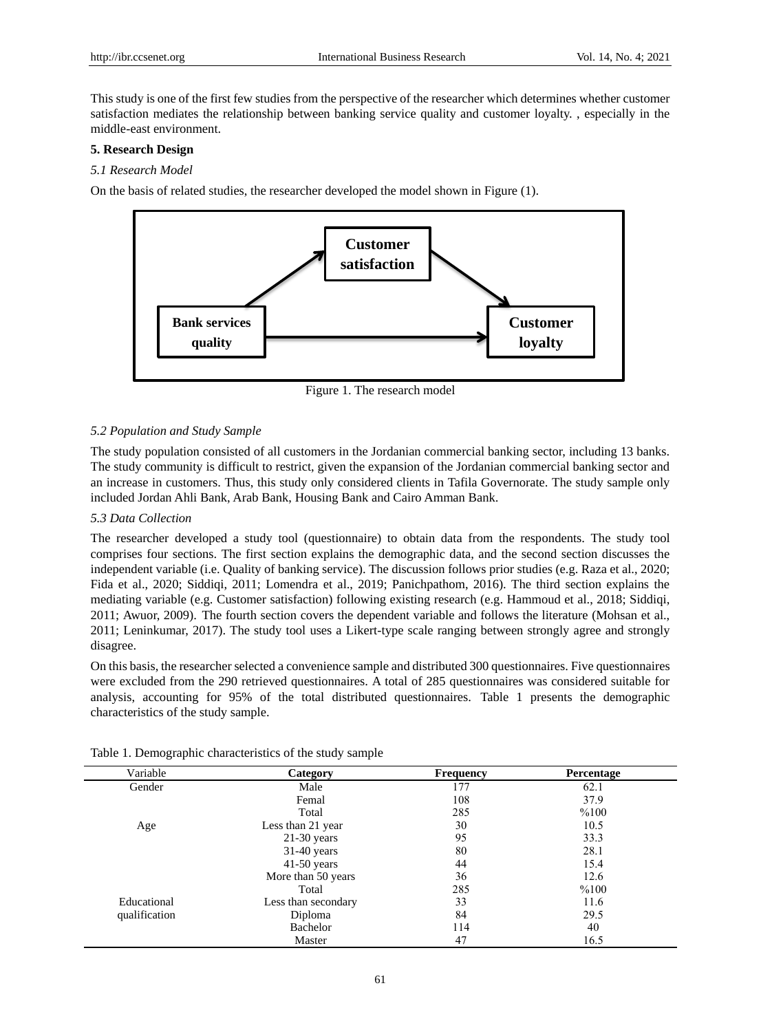This study is one of the first few studies from the perspective of the researcher which determines whether customer satisfaction mediates the relationship between banking service quality and customer loyalty. , especially in the middle-east environment.

## **5. Research Design**

#### *5.1 Research Model*

On the basis of related studies, the researcher developed the model shown in Figure (1).



Figure 1. The research model

#### *5.2 Population and Study Sample*

The study population consisted of all customers in the Jordanian commercial banking sector, including 13 banks. The study community is difficult to restrict, given the expansion of the Jordanian commercial banking sector and an increase in customers. Thus, this study only considered clients in Tafila Governorate. The study sample only included Jordan Ahli Bank, Arab Bank, Housing Bank and Cairo Amman Bank.

#### *5.3 Data Collection*

The researcher developed a study tool (questionnaire) to obtain data from the respondents. The study tool comprises four sections. The first section explains the demographic data, and the second section discusses the independent variable (i.e. Quality of banking service). The discussion follows prior studies (e.g. Raza et al., 2020; Fida et al., 2020; Siddiqi, 2011; Lomendra et al., 2019; Panichpathom, 2016). The third section explains the mediating variable (e.g. Customer satisfaction) following existing research (e.g. Hammoud et al., 2018; Siddiqi, 2011; Awuor, 2009). The fourth section covers the dependent variable and follows the literature (Mohsan et al., 2011; Leninkumar, 2017). The study tool uses a Likert-type scale ranging between strongly agree and strongly disagree.

On this basis, the researcher selected a convenience sample and distributed 300 questionnaires. Five questionnaires were excluded from the 290 retrieved questionnaires. A total of 285 questionnaires was considered suitable for analysis, accounting for 95% of the total distributed questionnaires. Table 1 presents the demographic characteristics of the study sample.

| Variable      | Category            | <b>Frequency</b> | <b>Percentage</b> |
|---------------|---------------------|------------------|-------------------|
| Gender        | Male                | 177              | 62.1              |
|               | Femal               | 108              | 37.9              |
|               | Total               | 285              | %100              |
| Age           | Less than 21 year   | 30               | 10.5              |
|               | $21-30$ years       | 95               | 33.3              |
|               | $31-40$ years       | 80               | 28.1              |
|               | $41-50$ years       | 44               | 15.4              |
|               | More than 50 years  | 36               | 12.6              |
|               | Total               | 285              | %100              |
| Educational   | Less than secondary | 33               | 11.6              |
| qualification | Diploma             | 84               | 29.5              |
|               | Bachelor            | 114              | 40                |
|               | Master              | 47               | 16.5              |

|  | Table 1. Demographic characteristics of the study sample |  |  |
|--|----------------------------------------------------------|--|--|
|  |                                                          |  |  |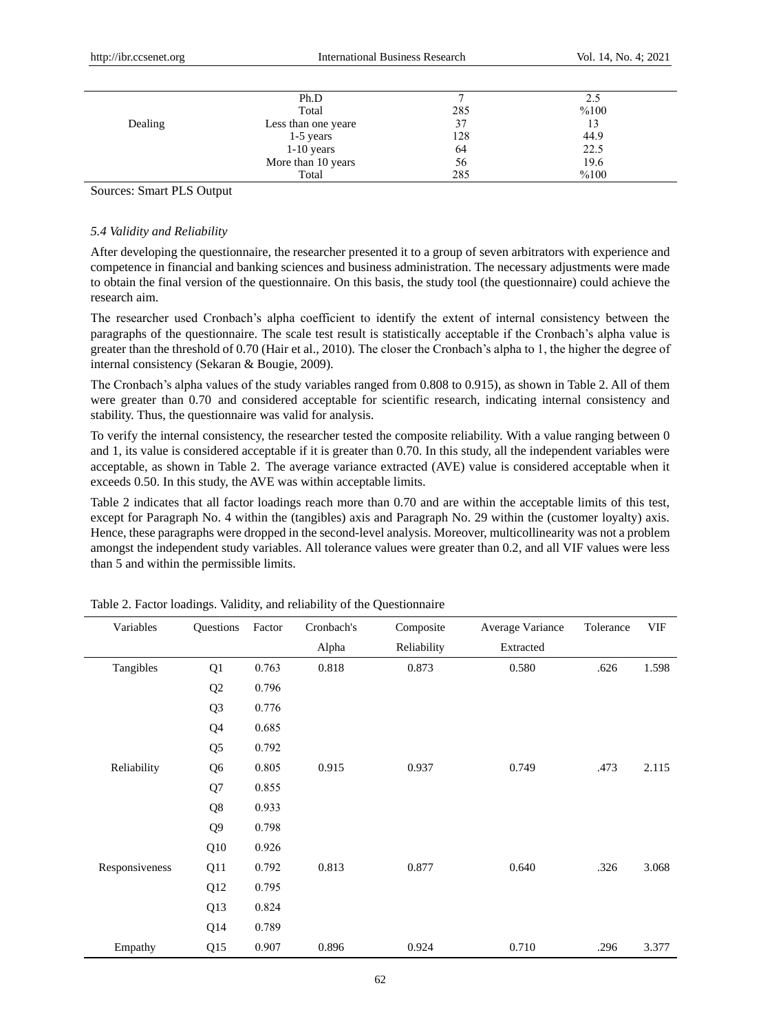|         | Ph.D                |     | 2.5  |  |
|---------|---------------------|-----|------|--|
|         | Total               | 285 | %100 |  |
| Dealing | Less than one yeare | 37  | 13   |  |
|         | $1-5$ years         | 128 | 44.9 |  |
|         | $1-10$ years        | 64  | 22.5 |  |
|         | More than 10 years  | 56  | 19.6 |  |
|         | Total               | 285 | %100 |  |
|         |                     |     |      |  |

Sources: Smart PLS Output

#### *5.4 Validity and Reliability*

After developing the questionnaire, the researcher presented it to a group of seven arbitrators with experience and competence in financial and banking sciences and business administration. The necessary adjustments were made to obtain the final version of the questionnaire. On this basis, the study tool (the questionnaire) could achieve the research aim.

The researcher used Cronbach's alpha coefficient to identify the extent of internal consistency between the paragraphs of the questionnaire. The scale test result is statistically acceptable if the Cronbach's alpha value is greater than the threshold of 0.70 (Hair et al., 2010). The closer the Cronbach's alpha to 1, the higher the degree of internal consistency (Sekaran & Bougie, 2009).

The Cronbach's alpha values of the study variables ranged from 0.808 to 0.915), as shown in Table 2. All of them were greater than 0.70 and considered acceptable for scientific research, indicating internal consistency and stability. Thus, the questionnaire was valid for analysis.

To verify the internal consistency, the researcher tested the composite reliability. With a value ranging between 0 and 1, its value is considered acceptable if it is greater than 0.70. In this study, all the independent variables were acceptable, as shown in Table 2. The average variance extracted (AVE) value is considered acceptable when it exceeds 0.50. In this study, the AVE was within acceptable limits.

Table 2 indicates that all factor loadings reach more than 0.70 and are within the acceptable limits of this test, except for Paragraph No. 4 within the (tangibles) axis and Paragraph No. 29 within the (customer loyalty) axis. Hence, these paragraphs were dropped in the second-level analysis. Moreover, multicollinearity was not a problem amongst the independent study variables. All tolerance values were greater than 0.2, and all VIF values were less than 5 and within the permissible limits.

| Variables      | Questions      | Factor | Cronbach's | Composite   | Average Variance | Tolerance | VIF   |
|----------------|----------------|--------|------------|-------------|------------------|-----------|-------|
|                |                |        | Alpha      | Reliability | Extracted        |           |       |
| Tangibles      | Q1             | 0.763  | 0.818      | 0.873       | 0.580            | .626      | 1.598 |
|                | Q <sub>2</sub> | 0.796  |            |             |                  |           |       |
|                | Q <sub>3</sub> | 0.776  |            |             |                  |           |       |
|                | Q4             | 0.685  |            |             |                  |           |       |
|                | Q <sub>5</sub> | 0.792  |            |             |                  |           |       |
| Reliability    | Q <sub>6</sub> | 0.805  | 0.915      | 0.937       | 0.749            | .473      | 2.115 |
|                | Q7             | 0.855  |            |             |                  |           |       |
|                | Q8             | 0.933  |            |             |                  |           |       |
|                | Q <sub>9</sub> | 0.798  |            |             |                  |           |       |
|                | Q10            | 0.926  |            |             |                  |           |       |
| Responsiveness | Q11            | 0.792  | 0.813      | 0.877       | 0.640            | .326      | 3.068 |
|                | Q12            | 0.795  |            |             |                  |           |       |
|                | Q13            | 0.824  |            |             |                  |           |       |
|                | Q14            | 0.789  |            |             |                  |           |       |
| Empathy        | Q15            | 0.907  | 0.896      | 0.924       | 0.710            | .296      | 3.377 |

Table 2. Factor loadings. Validity, and reliability of the Questionnaire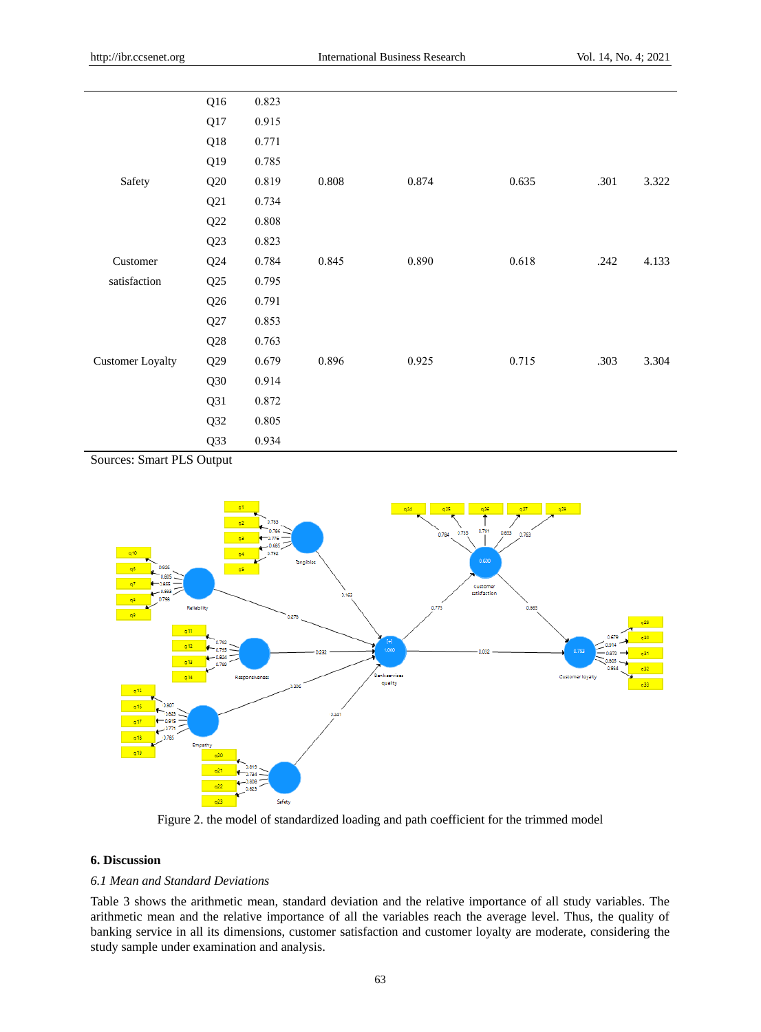|                         | Q16 | 0.823 |       |       |       |      |       |
|-------------------------|-----|-------|-------|-------|-------|------|-------|
|                         | Q17 | 0.915 |       |       |       |      |       |
|                         | Q18 | 0.771 |       |       |       |      |       |
|                         | Q19 | 0.785 |       |       |       |      |       |
| Safety                  | Q20 | 0.819 | 0.808 | 0.874 | 0.635 | .301 | 3.322 |
|                         | Q21 | 0.734 |       |       |       |      |       |
|                         | Q22 | 0.808 |       |       |       |      |       |
|                         | Q23 | 0.823 |       |       |       |      |       |
| Customer                | Q24 | 0.784 | 0.845 | 0.890 | 0.618 | .242 | 4.133 |
| satisfaction            | Q25 | 0.795 |       |       |       |      |       |
|                         | Q26 | 0.791 |       |       |       |      |       |
|                         | Q27 | 0.853 |       |       |       |      |       |
|                         | Q28 | 0.763 |       |       |       |      |       |
| <b>Customer Loyalty</b> | Q29 | 0.679 | 0.896 | 0.925 | 0.715 | .303 | 3.304 |
|                         | Q30 | 0.914 |       |       |       |      |       |
|                         | Q31 | 0.872 |       |       |       |      |       |
|                         | Q32 | 0.805 |       |       |       |      |       |
|                         | Q33 | 0.934 |       |       |       |      |       |

Sources: Smart PLS Output



Figure 2. the model of standardized loading and path coefficient for the trimmed model

## **6. Discussion**

## *6.1 Mean and Standard Deviations*

Table 3 shows the arithmetic mean, standard deviation and the relative importance of all study variables. The arithmetic mean and the relative importance of all the variables reach the average level. Thus, the quality of banking service in all its dimensions, customer satisfaction and customer loyalty are moderate, considering the study sample under examination and analysis.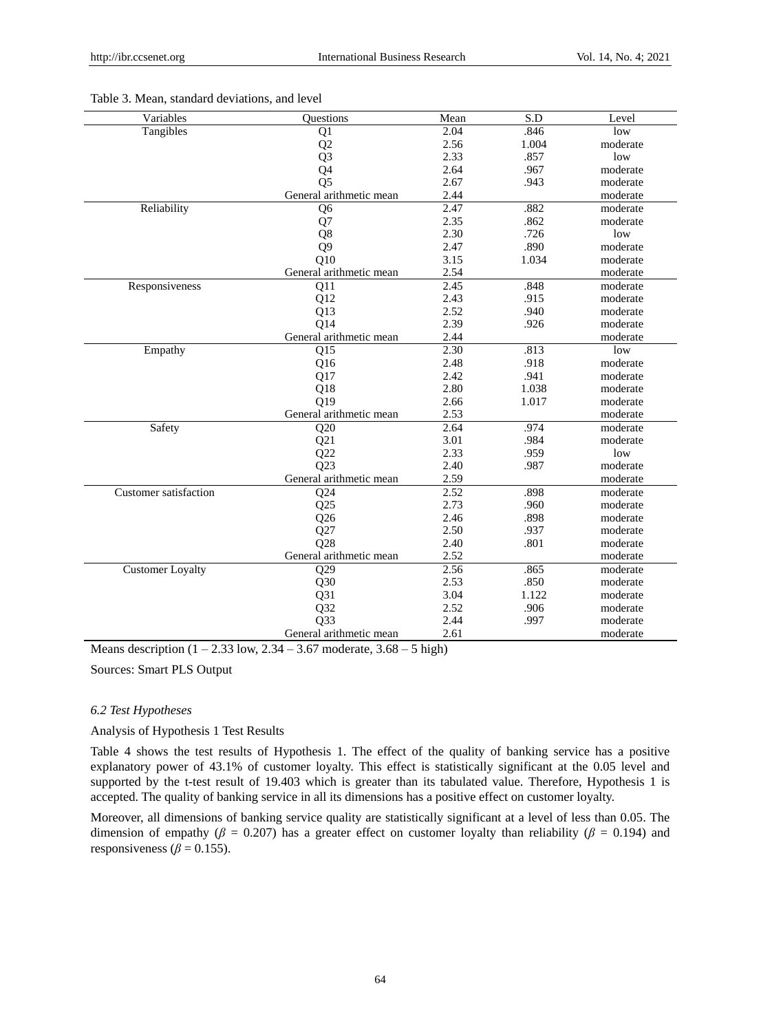| Variables               | <b>Ouestions</b>        | Mean | S.D   | Level    |
|-------------------------|-------------------------|------|-------|----------|
| Tangibles               | Q1                      | 2.04 | .846  | low      |
|                         | Q2                      | 2.56 | 1.004 | moderate |
|                         | Q <sub>3</sub>          | 2.33 | .857  | low      |
|                         | Q4                      | 2.64 | .967  | moderate |
|                         | O <sub>5</sub>          | 2.67 | .943  | moderate |
|                         | General arithmetic mean | 2.44 |       | moderate |
| Reliability             | Q <sub>6</sub>          | 2.47 | .882  | moderate |
|                         | Q7                      | 2.35 | .862  | moderate |
|                         | Q8                      | 2.30 | .726  | low      |
|                         | Q <sub>9</sub>          | 2.47 | .890  | moderate |
|                         | Q10                     | 3.15 | 1.034 | moderate |
|                         | General arithmetic mean | 2.54 |       | moderate |
| Responsiveness          | Q11                     | 2.45 | .848  | moderate |
|                         | Q12                     | 2.43 | .915  | moderate |
|                         | Q13                     | 2.52 | .940  | moderate |
|                         | Q14                     | 2.39 | .926  | moderate |
|                         | General arithmetic mean | 2.44 |       | moderate |
| Empathy                 | Q15                     | 2.30 | .813  | low      |
|                         | Q16                     | 2.48 | .918  | moderate |
|                         | Q17                     | 2.42 | .941  | moderate |
|                         | Q18                     | 2.80 | 1.038 | moderate |
|                         | O19                     | 2.66 | 1.017 | moderate |
|                         | General arithmetic mean | 2.53 |       | moderate |
| Safety                  | Q20                     | 2.64 | .974  | moderate |
|                         | Q21                     | 3.01 | .984  | moderate |
|                         | Q22                     | 2.33 | .959  | low      |
|                         | O <sub>23</sub>         | 2.40 | .987  | moderate |
|                         | General arithmetic mean | 2.59 |       | moderate |
| Customer satisfaction   | Q24                     | 2.52 | .898  | moderate |
|                         | Q25                     | 2.73 | .960  | moderate |
|                         | Q26                     | 2.46 | .898  | moderate |
|                         | Q27                     | 2.50 | .937  | moderate |
|                         | Q28                     | 2.40 | .801  | moderate |
|                         | General arithmetic mean | 2.52 |       | moderate |
| <b>Customer Loyalty</b> | Q29                     | 2.56 | .865  | moderate |
|                         | Q30                     | 2.53 | .850  | moderate |
|                         | Q31                     | 3.04 | 1.122 | moderate |
|                         | Q32                     | 2.52 | .906  | moderate |
|                         | Q33                     | 2.44 | .997  | moderate |
|                         | General arithmetic mean | 2.61 |       | moderate |

#### Table 3. Mean, standard deviations, and level

Means description  $(1 - 2.33 \text{ low}, 2.34 - 3.67 \text{ moderate}, 3.68 - 5 \text{ high})$ 

Sources: Smart PLS Output

## *6.2 Test Hypotheses*

#### Analysis of Hypothesis 1 Test Results

Table 4 shows the test results of Hypothesis 1. The effect of the quality of banking service has a positive explanatory power of 43.1% of customer loyalty. This effect is statistically significant at the 0.05 level and supported by the t-test result of 19.403 which is greater than its tabulated value. Therefore, Hypothesis 1 is accepted. The quality of banking service in all its dimensions has a positive effect on customer loyalty.

Moreover, all dimensions of banking service quality are statistically significant at a level of less than 0.05. The dimension of empathy ( $\beta$  = 0.207) has a greater effect on customer loyalty than reliability ( $\beta$  = 0.194) and responsiveness ( $\beta$  = 0.155).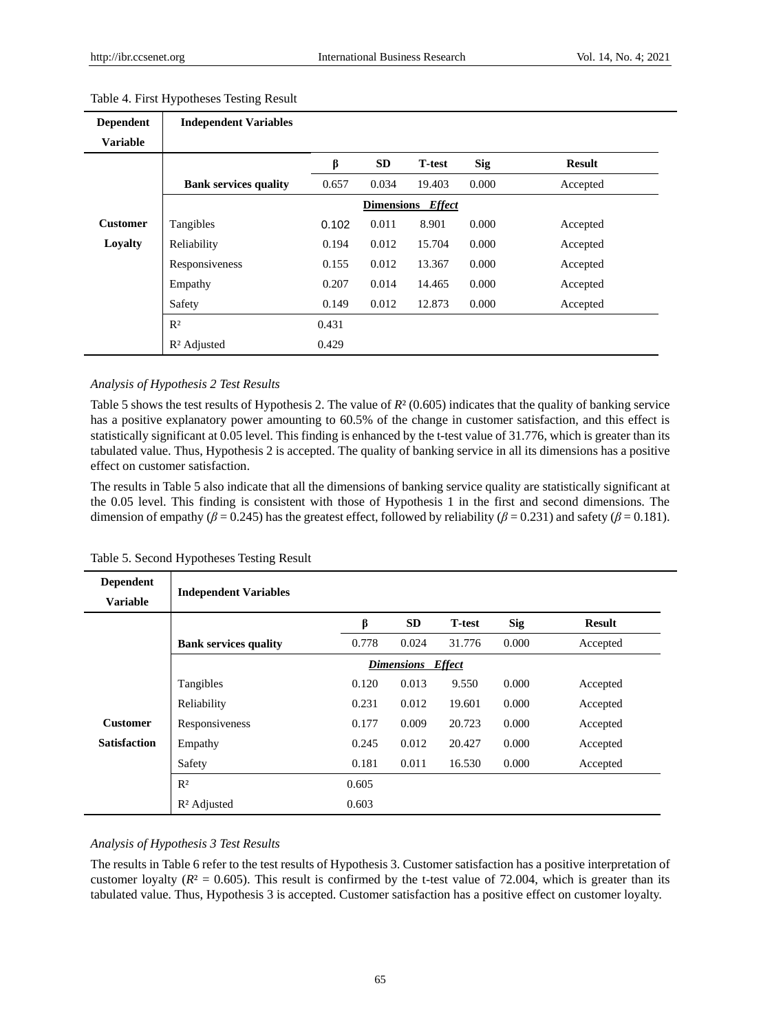| <b>Dependent</b> | <b>Independent Variables</b> |       |                   |                |            |               |
|------------------|------------------------------|-------|-------------------|----------------|------------|---------------|
| <b>Variable</b>  |                              |       |                   |                |            |               |
|                  |                              | β     | <b>SD</b>         | <b>T</b> -test | <b>Sig</b> | <b>Result</b> |
|                  | <b>Bank services quality</b> | 0.657 | 0.034             | 19.403         | 0.000      | Accepted      |
|                  |                              |       | <b>Dimensions</b> | <b>Effect</b>  |            |               |
| <b>Customer</b>  | Tangibles                    | 0.102 | 0.011             | 8.901          | 0.000      | Accepted      |
| Loyalty          | Reliability                  | 0.194 | 0.012             | 15.704         | 0.000      | Accepted      |
|                  | Responsiveness               | 0.155 | 0.012             | 13.367         | 0.000      | Accepted      |
|                  | Empathy                      | 0.207 | 0.014             | 14.465         | 0.000      | Accepted      |
|                  | Safety                       | 0.149 | 0.012             | 12.873         | 0.000      | Accepted      |
|                  | R <sup>2</sup>               | 0.431 |                   |                |            |               |
|                  | R <sup>2</sup> Adjusted      | 0.429 |                   |                |            |               |

## Table 4. First Hypotheses Testing Result

#### *Analysis of Hypothesis 2 Test Results*

Table 5 shows the test results of Hypothesis 2. The value of *R*<sup>2</sup>(0.605) indicates that the quality of banking service has a positive explanatory power amounting to 60.5% of the change in customer satisfaction, and this effect is statistically significant at 0.05 level. This finding is enhanced by the t-test value of 31.776, which is greater than its tabulated value. Thus, Hypothesis 2 is accepted. The quality of banking service in all its dimensions has a positive effect on customer satisfaction.

The results in Table 5 also indicate that all the dimensions of banking service quality are statistically significant at the 0.05 level. This finding is consistent with those of Hypothesis 1 in the first and second dimensions. The dimension of empathy ( $\beta$  = 0.245) has the greatest effect, followed by reliability ( $\beta$  = 0.231) and safety ( $\beta$  = 0.181).

| <b>Dependent</b><br><b>Variable</b> | <b>Independent Variables</b> |       |                          |               |            |               |
|-------------------------------------|------------------------------|-------|--------------------------|---------------|------------|---------------|
|                                     |                              | β     | <b>SD</b>                | <b>T-test</b> | <b>Sig</b> | <b>Result</b> |
|                                     | <b>Bank services quality</b> | 0.778 | 0.024                    | 31.776        | 0.000      | Accepted      |
|                                     |                              |       | <b>Dimensions</b> Effect |               |            |               |
|                                     | Tangibles                    | 0.120 | 0.013                    | 9.550         | 0.000      | Accepted      |
|                                     | Reliability                  | 0.231 | 0.012                    | 19.601        | 0.000      | Accepted      |
| <b>Customer</b>                     | Responsiveness               | 0.177 | 0.009                    | 20.723        | 0.000      | Accepted      |
| <b>Satisfaction</b>                 | Empathy                      | 0.245 | 0.012                    | 20.427        | 0.000      | Accepted      |
|                                     | Safety                       | 0.181 | 0.011                    | 16.530        | 0.000      | Accepted      |
|                                     | R <sup>2</sup>               | 0.605 |                          |               |            |               |
|                                     | R <sup>2</sup> Adjusted      | 0.603 |                          |               |            |               |

Table 5. Second Hypotheses Testing Result

#### *Analysis of Hypothesis 3 Test Results*

The results in Table 6 refer to the test results of Hypothesis 3. Customer satisfaction has a positive interpretation of customer loyalty ( $R<sup>2</sup> = 0.605$ ). This result is confirmed by the t-test value of 72.004, which is greater than its tabulated value. Thus, Hypothesis 3 is accepted. Customer satisfaction has a positive effect on customer loyalty.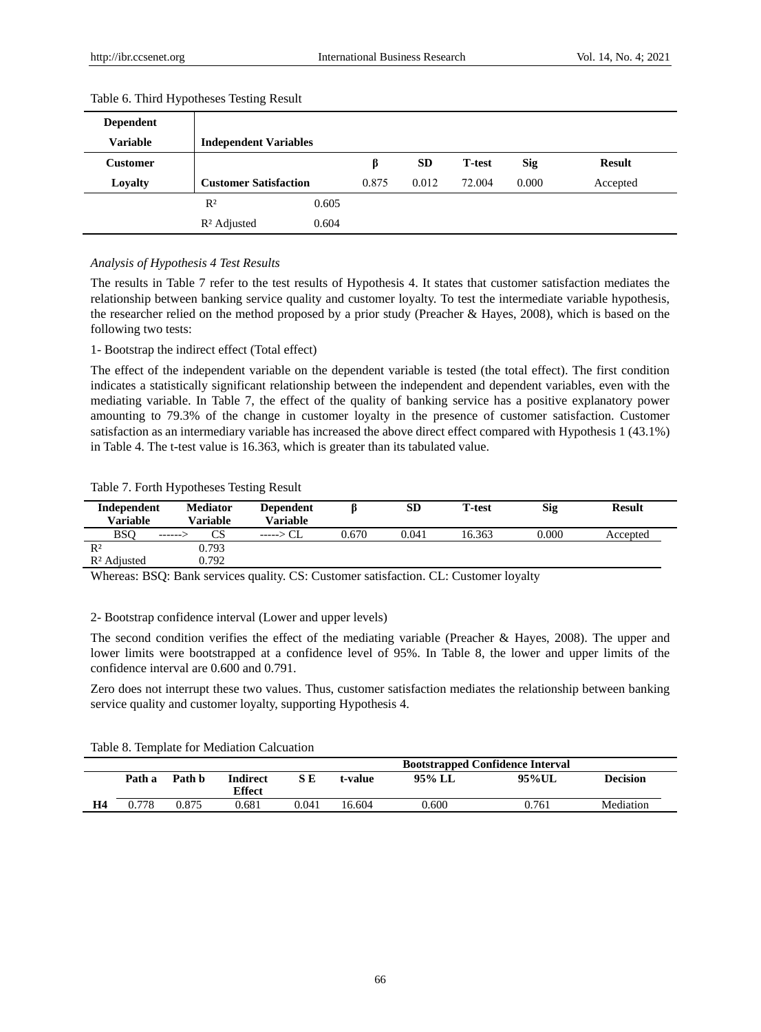| <b>Dependent</b> |                              |       |       |           |                |            |               |
|------------------|------------------------------|-------|-------|-----------|----------------|------------|---------------|
| <b>Variable</b>  | <b>Independent Variables</b> |       |       |           |                |            |               |
| Customer         |                              |       |       | <b>SD</b> | <b>T</b> -test | <b>Sig</b> | <b>Result</b> |
| Loyalty          | <b>Customer Satisfaction</b> |       | 0.875 | 0.012     | 72.004         | 0.000      | Accepted      |
|                  | R <sup>2</sup>               | 0.605 |       |           |                |            |               |
|                  | R <sup>2</sup> Adjusted      | 0.604 |       |           |                |            |               |

#### Table 6. Third Hypotheses Testing Result

## *Analysis of Hypothesis 4 Test Results*

The results in Table 7 refer to the test results of Hypothesis 4. It states that customer satisfaction mediates the relationship between banking service quality and customer loyalty. To test the intermediate variable hypothesis, the researcher relied on the method proposed by a prior study (Preacher & Hayes, 2008), which is based on the following two tests:

1- Bootstrap the indirect effect (Total effect)

The effect of the independent variable on the dependent variable is tested (the total effect). The first condition indicates a statistically significant relationship between the independent and dependent variables, even with the mediating variable. In Table 7, the effect of the quality of banking service has a positive explanatory power amounting to 79.3% of the change in customer loyalty in the presence of customer satisfaction. Customer satisfaction as an intermediary variable has increased the above direct effect compared with Hypothesis 1 (43.1%) in Table 4. The t-test value is 16.363, which is greater than its tabulated value.

#### Table 7. Forth Hypotheses Testing Result

| Independent<br><b>Variable</b> | <b>Mediator</b><br>Variable | <b>Dependent</b><br><b>Variable</b> |       | SD    | <b>T</b> -test | Sig   | <b>Result</b> |
|--------------------------------|-----------------------------|-------------------------------------|-------|-------|----------------|-------|---------------|
| <b>BSO</b>                     | CS<br>------- -             | $---> CL$                           | 0.670 | 0.041 | 16.363         | 0.000 | Accepted      |
| R <sup>2</sup>                 | 0.793                       |                                     |       |       |                |       |               |
| R <sup>2</sup> Adjusted        | 0.792                       |                                     |       |       |                |       |               |

Whereas: BSQ: Bank services quality. CS: Customer satisfaction. CL: Customer loyalty

2- Bootstrap confidence interval (Lower and upper levels)

The second condition verifies the effect of the mediating variable (Preacher & Hayes, 2008). The upper and lower limits were bootstrapped at a confidence level of 95%. In Table 8, the lower and upper limits of the confidence interval are 0.600 and 0.791.

Zero does not interrupt these two values. Thus, customer satisfaction mediates the relationship between banking service quality and customer loyalty, supporting Hypothesis 4.

Table 8. Template for Mediation Calcuation

|    |        |        |                           |       |         |        | <b>Bootstrapped Confidence Interval</b> |                 |
|----|--------|--------|---------------------------|-------|---------|--------|-----------------------------------------|-----------------|
|    | Path a | Path b | <b>Indirect</b><br>Effect | S E   | t-value | 95% LL | 95%UL                                   | <b>Decision</b> |
| H4 | 0.778  | 0.875  | 0.681                     | 0.041 | 16.604  | 0.600  | 0.761                                   | Mediation       |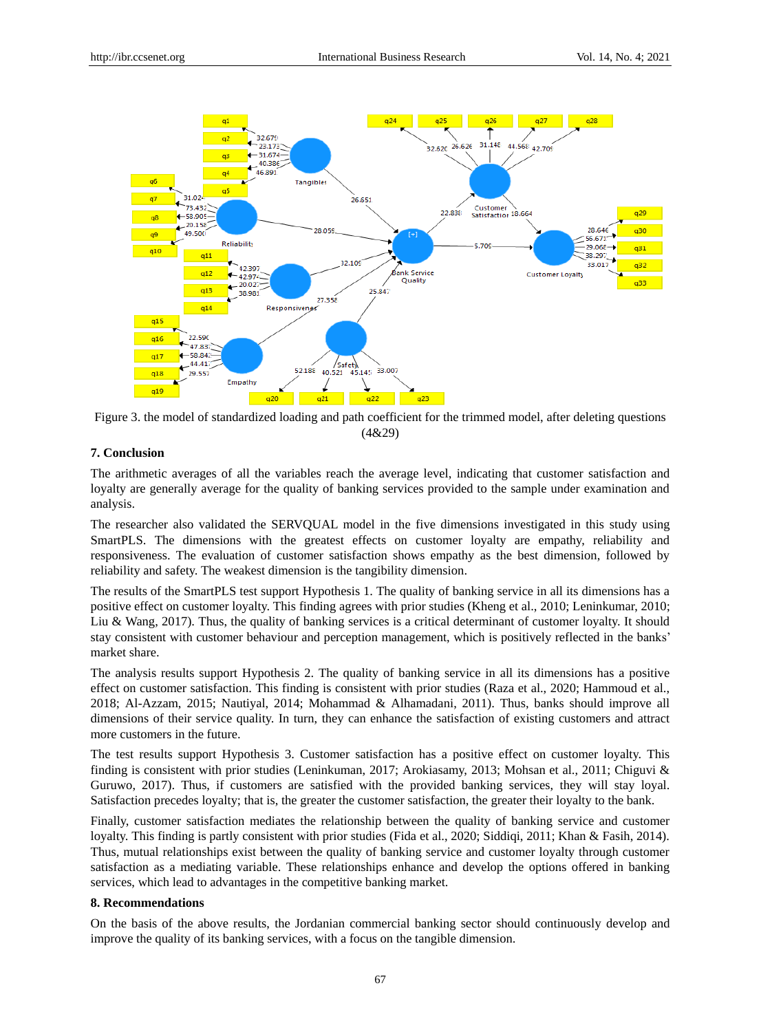

Figure 3. the model of standardized loading and path coefficient for the trimmed model, after deleting questions (4&29)

## **7. Conclusion**

The arithmetic averages of all the variables reach the average level, indicating that customer satisfaction and loyalty are generally average for the quality of banking services provided to the sample under examination and analysis.

The researcher also validated the SERVQUAL model in the five dimensions investigated in this study using SmartPLS. The dimensions with the greatest effects on customer loyalty are empathy, reliability and responsiveness. The evaluation of customer satisfaction shows empathy as the best dimension, followed by reliability and safety. The weakest dimension is the tangibility dimension.

The results of the SmartPLS test support Hypothesis 1. The quality of banking service in all its dimensions has a positive effect on customer loyalty. This finding agrees with prior studies (Kheng et al., 2010; Leninkumar, 2010; Liu & Wang, 2017). Thus, the quality of banking services is a critical determinant of customer loyalty. It should stay consistent with customer behaviour and perception management, which is positively reflected in the banks' market share.

The analysis results support Hypothesis 2. The quality of banking service in all its dimensions has a positive effect on customer satisfaction. This finding is consistent with prior studies (Raza et al., 2020; Hammoud et al., 2018; Al-Azzam, 2015; Nautiyal, 2014; Mohammad & Alhamadani, 2011). Thus, banks should improve all dimensions of their service quality. In turn, they can enhance the satisfaction of existing customers and attract more customers in the future.

The test results support Hypothesis 3. Customer satisfaction has a positive effect on customer loyalty. This finding is consistent with prior studies (Leninkuman, 2017; Arokiasamy, 2013; Mohsan et al., 2011; Chiguvi & Guruwo, 2017). Thus, if customers are satisfied with the provided banking services, they will stay loyal. Satisfaction precedes loyalty; that is, the greater the customer satisfaction, the greater their loyalty to the bank.

Finally, customer satisfaction mediates the relationship between the quality of banking service and customer loyalty. This finding is partly consistent with prior studies (Fida et al., 2020; Siddiqi, 2011; Khan & Fasih, 2014). Thus, mutual relationships exist between the quality of banking service and customer loyalty through customer satisfaction as a mediating variable. These relationships enhance and develop the options offered in banking services, which lead to advantages in the competitive banking market.

## **8. Recommendations**

On the basis of the above results, the Jordanian commercial banking sector should continuously develop and improve the quality of its banking services, with a focus on the tangible dimension.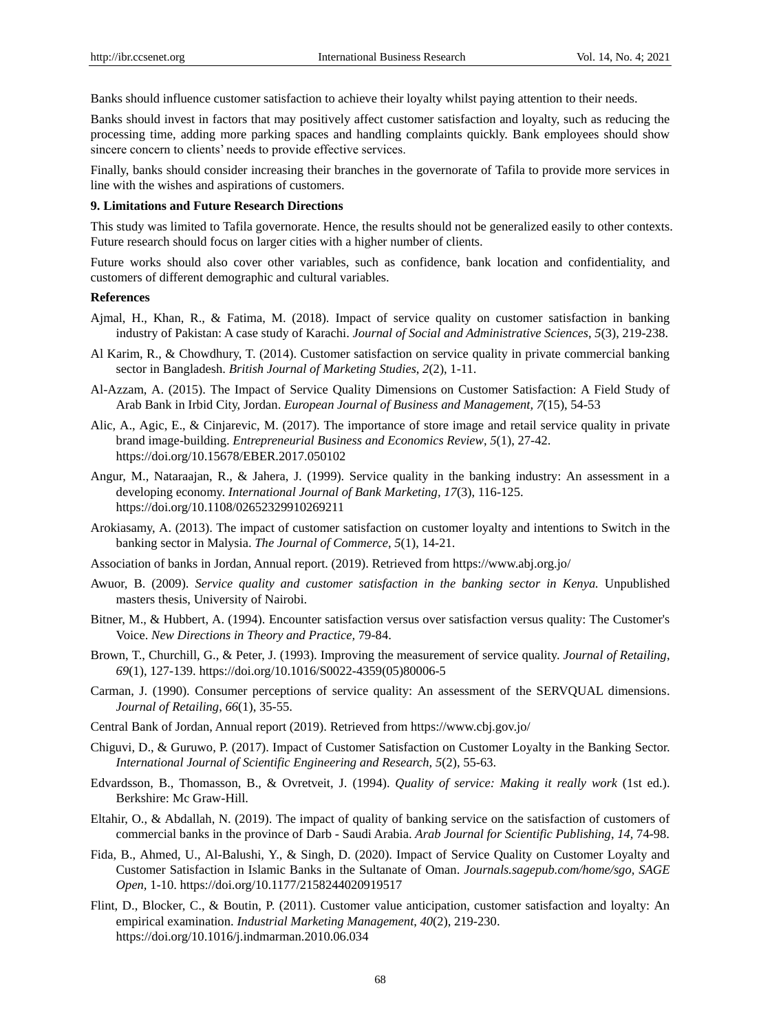Banks should influence customer satisfaction to achieve their loyalty whilst paying attention to their needs.

Banks should invest in factors that may positively affect customer satisfaction and loyalty, such as reducing the processing time, adding more parking spaces and handling complaints quickly. Bank employees should show sincere concern to clients' needs to provide effective services.

Finally, banks should consider increasing their branches in the governorate of Tafila to provide more services in line with the wishes and aspirations of customers.

#### **9. Limitations and Future Research Directions**

This study was limited to Tafila governorate. Hence, the results should not be generalized easily to other contexts. Future research should focus on larger cities with a higher number of clients.

Future works should also cover other variables, such as confidence, bank location and confidentiality, and customers of different demographic and cultural variables.

## **References**

- Ajmal, H., Khan, R., & Fatima, M. (2018). Impact of service quality on customer satisfaction in banking industry of Pakistan: A case study of Karachi. *Journal of Social and Administrative Sciences*, *5*(3), 219-238.
- Al Karim, R., & Chowdhury, T. (2014). Customer satisfaction on service quality in private commercial banking sector in Bangladesh. *British Journal of Marketing Studies*, *2*(2), 1-11.
- Al-Azzam, A. (2015). The Impact of Service Quality Dimensions on Customer Satisfaction: A Field Study of Arab Bank in Irbid City, Jordan. *European Journal of Business and Management, 7*(15), 54-53
- Alic, A., Agic, E., & Cinjarevic, M. (2017). The importance of store image and retail service quality in private brand image-building. *Entrepreneurial Business and Economics Review*, *5*(1), 27-42. https://doi.org/10.15678/EBER.2017.050102
- Angur, M., Nataraajan, R., & Jahera, J. (1999). Service quality in the banking industry: An assessment in a developing economy. *International Journal of Bank Marketing, 17*(3), 116-125. https://doi.org/10.1108/02652329910269211
- Arokiasamy, A. (2013). The impact of customer satisfaction on customer loyalty and intentions to Switch in the banking sector in Malysia. *The Journal of Commerce*, *5*(1), 14-21.
- Association of banks in Jordan, Annual report. (2019). Retrieved fro[m https://www.abj.org.jo/](https://www.abj.org.jo/)
- Awuor, B. (2009). *Service quality and customer satisfaction in the banking sector in Kenya.* Unpublished masters thesis, University of Nairobi.
- Bitner, M., & Hubbert, A. (1994). Encounter satisfaction versus over satisfaction versus quality: The Customer's Voice. *New Directions in Theory and Practice,* 79-84.
- Brown, T., Churchill, G., & Peter, J. (1993). Improving the measurement of service quality. *Journal of Retailing*, *69*(1), 127-139. https://doi.org/10.1016/S0022-4359(05)80006-5
- Carman, J. (1990). Consumer perceptions of service quality: An assessment of the SERVQUAL dimensions. *Journal of Retailing*, *66*(1), 35-55.
- Central Bank of Jordan, Annual report (2019). Retrieved fro[m https://www.cbj.gov.jo/](https://www.cbj.gov.jo/)
- Chiguvi, D., & Guruwo, P. (2017). Impact of Customer Satisfaction on Customer Loyalty in the Banking Sector. *International Journal of Scientific Engineering and Research, 5*(2), 55-63.
- Edvardsson, B., Thomasson, B., & Ovretveit, J. (1994). *Quality of service: Making it really work* (1st ed.). Berkshire: Mc Graw-Hill.
- Eltahir, O., & Abdallah, N. (2019). The impact of quality of banking service on the satisfaction of customers of commercial banks in the province of Darb - Saudi Arabia. *Arab Journal for Scientific Publishing*, *14,* 74-98.
- Fida, B., Ahmed, U., Al-Balushi, Y., & Singh, D. (2020). Impact of Service Quality on Customer Loyalty and Customer Satisfaction in Islamic Banks in the Sultanate of Oman. *Journals.sagepub.com/home/sgo, SAGE Open,* 1-10. https://doi.org/10.1177/2158244020919517
- Flint, D., Blocker, C., & Boutin, P. (2011). Customer value anticipation, customer satisfaction and loyalty: An empirical examination. *Industrial Marketing Management*, *40*(2), 219-230. https://doi.org/10.1016/j.indmarman.2010.06.034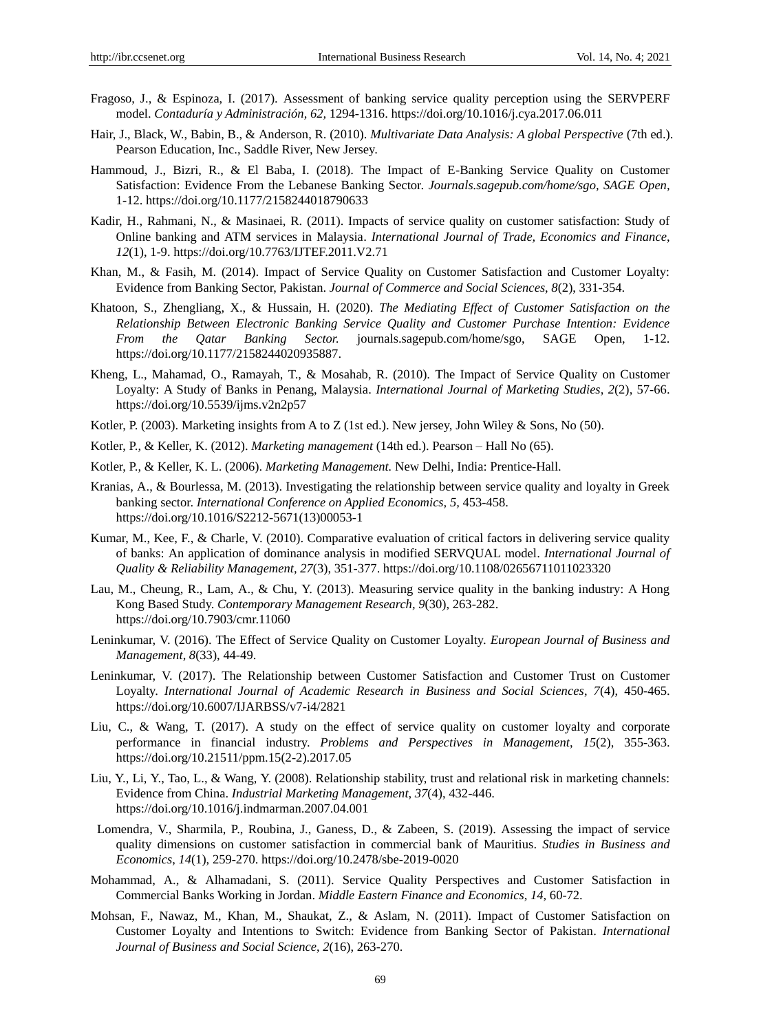- Fragoso, J., & Espinoza, I. (2017). Assessment of banking service quality perception using the SERVPERF model. *Contaduría y Administración, 62,* 1294-1316. https://doi.org/10.1016/j.cya.2017.06.011
- Hair, J., Black, W., Babin, B., & Anderson, R. (2010). *Multivariate Data Analysis: A global Perspective* (7th ed.). Pearson Education, Inc., Saddle River, New Jersey.
- Hammoud, J., Bizri, R., & El Baba, I. (2018). The Impact of E-Banking Service Quality on Customer Satisfaction: Evidence From the Lebanese Banking Sector. *Journals.sagepub.com/home/sgo, SAGE Open,*  1-12. https://doi.org/10.1177/2158244018790633
- Kadir, H., Rahmani, N., & Masinaei, R. (2011). Impacts of service quality on customer satisfaction: Study of Online banking and ATM services in Malaysia. *International Journal of Trade, Economics and Finance*, *12*(1), 1-9. https://doi.org/10.7763/IJTEF.2011.V2.71
- Khan, M., & Fasih, M. (2014). Impact of Service Quality on Customer Satisfaction and Customer Loyalty: Evidence from Banking Sector, Pakistan. *Journal of Commerce and Social Sciences*, *8*(2), 331-354.
- Khatoon, S., Zhengliang, X., & Hussain, H. (2020). *The Mediating Effect of Customer Satisfaction on the Relationship Between Electronic Banking Service Quality and Customer Purchase Intention: Evidence From the Qatar Banking Sector.* journals.sagepub.com/home/sgo, SAGE Open, 1-12. https://doi.org/10.1177/2158244020935887.
- Kheng, L., Mahamad, O., Ramayah, T., & Mosahab, R. (2010). The Impact of Service Quality on Customer Loyalty: A Study of Banks in Penang, Malaysia. *International Journal of Marketing Studies*, *2*(2), 57-66. https://doi.org/10.5539/ijms.v2n2p57
- Kotler, P. (2003). Marketing insights from A to Z (1st ed.). New jersey, John Wiley & Sons, No (50).
- Kotler, P., & Keller, K. (2012). *Marketing management* (14th ed.). Pearson Hall No (65).
- Kotler, P., & Keller, K. L. (2006). *Marketing Management.* New Delhi, India: Prentice-Hall.
- Kranias, A., & Bourlessa, M. (2013). Investigating the relationship between service quality and loyalty in Greek banking sector. *International Conference on Applied Economics, 5,* 453-458. https://doi.org/10.1016/S2212-5671(13)00053-1
- Kumar, M., Kee, F., & Charle, V. (2010). Comparative evaluation of critical factors in delivering service quality of banks: An application of dominance analysis in modified SERVQUAL model. *International Journal of Quality & Reliability Management, 27*(3), 351-377. https://doi.org/10.1108/02656711011023320
- Lau, M., Cheung, R., Lam, A., & Chu, Y. (2013). Measuring service quality in the banking industry: A Hong Kong Based Study. *Contemporary Management Research, 9*(30), 263-282. https://doi.org/10.7903/cmr.11060
- Leninkumar, V. (2016). The Effect of Service Quality on Customer Loyalty. *European Journal of Business and Management, 8*(33), 44-49.
- Leninkumar, V. (2017). The Relationship between Customer Satisfaction and Customer Trust on Customer Loyalty. *International Journal of Academic Research in Business and Social Sciences*, *7*(4), 450-465. https://doi.org/10.6007/IJARBSS/v7-i4/2821
- Liu, C., & Wang, T. (2017). A study on the effect of service quality on customer loyalty and corporate performance in financial industry. *Problems and Perspectives in Management*, *15*(2), 355-363. https://doi.org/10.21511/ppm.15(2-2).2017.05
- Liu, Y., Li, Y., Tao, L., & Wang, Y. (2008). Relationship stability, trust and relational risk in marketing channels: Evidence from China. *Industrial Marketing Management*, *37*(4), 432-446. https://doi.org/10.1016/j.indmarman.2007.04.001
- Lomendra, V., Sharmila, P., Roubina, J., Ganess, D., & Zabeen, S. (2019). Assessing the impact of service quality dimensions on customer satisfaction in commercial bank of Mauritius. *Studies in Business and Economics*, *14*(1), 259-270. https://doi.org/10.2478/sbe-2019-0020
- Mohammad, A., & Alhamadani, S. (2011). Service Quality Perspectives and Customer Satisfaction in Commercial Banks Working in Jordan. *Middle Eastern Finance and Economics, 14,* 60-72.
- Mohsan, F., Nawaz, M., Khan, M., Shaukat, Z., & Aslam, N. (2011). Impact of Customer Satisfaction on Customer Loyalty and Intentions to Switch: Evidence from Banking Sector of Pakistan. *International Journal of Business and Social Science*, *2*(16), 263-270.